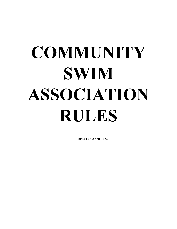# **COMMUNITY SWIM ASSOCIATION RULES**

**UPDATED April 2022**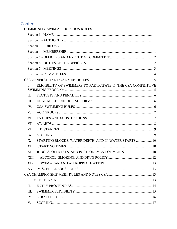### Contents

| L     | ELIGIBILITY OF SWIMMERS TO PARTICIPATE IN THE CSA COMPETITIVE |  |
|-------|---------------------------------------------------------------|--|
| П.    |                                                               |  |
| III.  |                                                               |  |
| IV.   |                                                               |  |
| V.    |                                                               |  |
| VI.   |                                                               |  |
| VII.  |                                                               |  |
| VIII. |                                                               |  |
| IX.   |                                                               |  |
| X.    | STARTING BLOCKS, WATER DEPTH, AND IN-WATER STARTS  10         |  |
| XI.   |                                                               |  |
| XII.  |                                                               |  |
| XIII. |                                                               |  |
| XIV.  |                                                               |  |
| XV.   |                                                               |  |
|       |                                                               |  |
| L.    |                                                               |  |
| II.   |                                                               |  |
| III.  |                                                               |  |
| IV.   |                                                               |  |
| V.    |                                                               |  |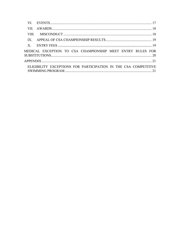|  | MEDICAL EXCEPTION TO CSA CHAMPIONSHIP MEET ENTRY RULES FOR<br>ELIGIBILITY EXCEPTIONS FOR PARTICIPATION IN THE CSA COMPETITIVE |
|--|-------------------------------------------------------------------------------------------------------------------------------|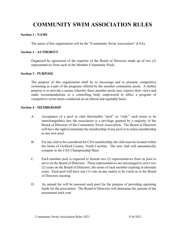## **COMMUNITY SWIM ASSOCIATION RULES**

#### **Section 1 - NAME**

The name of this organization will be the "Community Swim Association" (CSA).

#### **Section 2 - AUTHORITY**

Organized by agreement of the majority of the Board of Directors made up of two (2) representatives from each of the Member Community Pools.

#### **Section 3 - PURPOSE**

The purpose of this organization shall be to encourage and to promote competitive swimming as a part of the programs offered by the member community pools. A further purpose is to provide a means whereby these member pools may express their views and make recommendations to a controlling body empowered to affect a program of competitive swim meets conducted on an ethical and equitable basis.

#### **Section 4 - MEMBERSHIP**

- A. Acceptance of a pool or club (hereinafter "pool" or "club," such terms to be interchangeable) into the association is a privilege granted by a majority of the Board of Directors of the Community Swim Association. The Board of Directors will have the right to terminate the membership of any pool or to refuse membership to any new pool.
- B. For any club to be considered for CSA membership, the club must be located within the limits of Guilford County, North Carolina. The new club will automatically compete in the CSA Championship Meet.
- C. Each member pool is expected to furnish two (2) representatives from its pool to serve on the Board of Directors. These representatives are encouraged to serve two (2) years on the Board of Directors, the terms of each member expiring in alternate years. Each pool will have one (1) vote on any matter to be voted on in the Board of Directors meeting.
- D. An annual fee will be assessed each pool for the purpose of providing operating funds for the association. The Board of Directors will determine the amount of the assessment each year.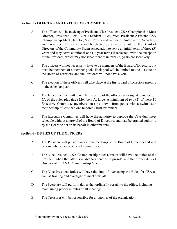#### **Section 5 - OFFICERS AND EXECUTIVE COMMITTEE**

- A. The officers will be made up of President, Vice President-CSA Championship Meet Director, President Elect, Vice President-Rules, Vice President-Assistant CSA Championship Meet Director, Vice President-Director of Automation, Secretary, and Treasurer. The officers will be elected by a majority vote of the Board of Directors of the Community Swim Association to serve an initial term of three (3) years and may serve additional one (1) year terms if reelected, with the exception of the President, which may not serve more than three (3) years consecutively.
- B. The officers will not necessarily have to be members of the Board of Directors, but must be members of a member pool. Each pool will be limited to one (1) vote on the Board of Directors, and the President will not have a vote.
- C. The election of these officers will take place at the first Board of Directors meeting in the calendar year.
- D. The Executive Committee will be made up of the officers as designated in Section 5A of the rules plus three Members At-large. A minimum of two (2) of these 10 Executive Committee members must be drawn from pools with a swim team membership of less than one hundred (100) swimmers.
- E. The Executive Committee will have the authority to approve the CSA dual meet schedule without approval of the Board of Directors, and may be granted authority by the Board to act on its behalf in other matters.

#### **Section 6 - DUTIES OF THE OFFICERS**

- A. The President will preside over all the meetings of the Board of Directors and will be a member ex-officio of all committees.
- B. The Vice President-CSA Championship Meet Director will have the duties of the President when the latter is unable to attend or to preside, and the further duty of Director of the CSA Championship Meet.
- C. The Vice President-Rules will have the duty of overseeing the Rules for CSA as well as training and oversight of meet officials.
- D. The Secretary will perform duties that ordinarily pertain to the office, including maintaining proper minutes of all meetings.
- E. The Treasurer will be responsible for all monies of the organization.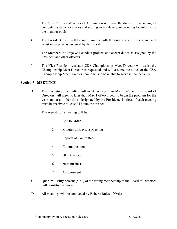- F. The Vice President-Director of Automation will have the duties of overseeing all computer systems for entries and scoring and of developing training for automating the member pools.
- G. The President Elect will become familiar with the duties of all officers and will assist in projects as assigned by the President.
- H. The Members At-large will conduct projects and accept duties as assigned by the President and other officers.
- I. The Vice President-Assistant CSA Championship Meet Director will assist the Championship Meet Director as requested and will assume the duties of the CSA Championship Meet Director should he/she be unable to serve in that capacity.

#### **Section 7 - MEETINGS**

- A. The Executive Committee will meet no later than March 20, and the Board of Directors will meet no later than May 1 of each year to begin the program for the year, and at all other times designated by the President. Notices of each meeting must be received at least 24 hours in advance.
- B. The Agenda of a meeting will be:
	- 1. Call to Order
	- 2. Minutes of Previous Meeting
	- 3. Reports of Committees
	- 4. Communications
	- 5. Old Business
	- 6. New Business
	- 7. Adjournment
- C. Quorum -- Fifty percent (50%) of the voting membership of the Board of Directors will constitute a quorum.
- D. All meetings will be conducted by Roberts Rules of Order.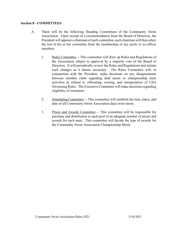#### **Section 8 - COMMITTEES**

- A. There will be the following Standing Committees of the Community Swim Association. Upon receipt of a recommendation from the Board of Directors, the President will appoint a chairman of each committee; each chairman will then select the rest of his or her committee from the membership of any pools or ex-officio members.
	- 1. Rules Committee -- This committee will draw up Rules and Regulations of the Association subject to approval by a majority vote of the Board of Directors. It will periodically review the Rules and Regulations and initiate such changes as it deems necessary. The Rules Committee will, in conjunction with the President, make decisions on any disagreements between member clubs regarding dual meets or championship meet activities as related to officiating, scoring, and interpretation of USA Swimming Rules. The Executive Committee will make decisions regarding eligibility of swimmers.
	- 2. Scheduling Committee -- This committee will establish the time, place, and date of all Community Swim Association dual swim meets.
	- 3. Prizes and Awards Committee -- This committee will be responsible for purchase and distribution to each pool of an adequate number of prizes and awards for each meet. This committee will decide the type of awards for the Community Swim Association Championship Meets.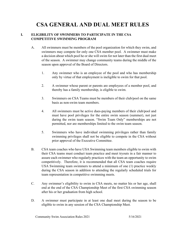## **CSA GENERAL AND DUAL MEET RULES**

#### **I. ELIGIBILITY OF SWIMMERS TO PARTICIPATE IN THE CSA COMPETITIVE SWIMMING PROGRAM**

- A. All swimmers must be members of the pool organization for which they swim, and swimmers may compete for only one CSA member pool. A swimmer must make a decision about which pool he or she will swim for not later than the first dual meet of the season. A swimmer may change community teams during the middle of the season upon approval of the Board of Directors.
	- 1. Any swimmer who is an employee of the pool and who has membership only by virtue of that employment is ineligible to swim for that pool.
	- 2. A swimmer whose parent or parents are employees of a member pool, and thereby has a family membership, is eligible to swim.
	- 3. Swimmers on CSA Teams must be members of their club/pool on the same basis as non-swim team members.
	- 4. All swimmers must be active dues-paying members of their club/pool and must have pool privileges for the entire swim season (summer), not just during the swim team season. "Swim Team Only" memberships are not permitted, nor are memberships limited to the swim team season.
	- 5. Swimmers who have individual swimming privileges rather than family swimming privileges shall not be eligible to compete in the CSA without prior approval of the Executive Committee.
- B. CSA team coaches who have USA Swimming team members eligible to swim with their CSA teams must conduct team practice and meet tryouts in a fair manner to assure each swimmer who regularly practices with the team an opportunity to swim competitively. Therefore, it is recommended that all CSA team coaches require USA Swimming team swimmers to attend a minimum of one (1) practice weekly during the CSA season in addition to attending the regularly scheduled trials for team representation in competitive swimming meets.
- C. Any swimmer's eligibility to swim in CSA meets, no matter his or her age, shall end at the end of the CSA Championship Meet of the first CSA swimming season after his or her graduation from high school.
- D. A swimmer must participate in at least one dual meet during the season to be eligible to swim in any session of the CSA Championship Meet.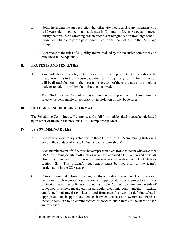- E. Notwithstanding the age restriction that otherwise would apply, any swimmer who is 19 years old or younger may participate in Community Swim Association meets during the first CSA swimming season after his or her graduation from high school. Swimmers eligible to participate under this rule shall be included in the 15-18 age group.
- F. Exceptions to the rules of eligibility are maintained by the executive committee and published in the Appendix.

#### II. **PROTESTS AND PENALTIES**

- A. Any protests as to the eligibility of a swimmer to compete in CSA meets should be made in writing to the Executive Committee. The penalty for the first infraction will be disqualification, in the meet under protest, of the entire age group -- either male or female -- in which the infraction occurred.
- B. The CSA Executive Committee may recommend appropriate action if any swimmer or coach is deliberately or consistently in violation of the above rules.

#### III. **DUAL MEET SCHEDULING FORMAT**

The Scheduling Committee will compose and publish a stratified dual meet schedule based upon order of finish in the previous CSA Championship Meet.

#### IV. **USA SWIMMING RULES**

- A. Except where expressly stated within these CSA rules, USA Swimming Rules will govern the conduct of all CSA Dual and Championship Meets.
- B. Each member team of CSA must have representatives from that team who are either USA Swimming-certified officials or who have attended a CSA-approved officials clinic since January 1 of the current swim season in accordance with CSA Bylaws section XII. This official's requirement must be met prior to the team's participation in the CSA season.
- C. CSA is committed to fostering a fun, healthy and safe environment. For this reason, we require each member organization take appropriate steps to protect swimmers by instituting written policies surrounding coaches' access to swimmers outside of scheduled practices, meets, etc., in particular electronic communication (texting, email, etc.) and travel (ex. rides to and from meets) as well as defining what is appropriate and inappropriate contact between coaches and swimmers. Further, these policies are to be communicated to coaches and parents at the start of each swim season.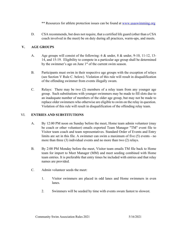- \*\* Resources for athlete protection issues can be found at www.usaswimming.org
- D. CSA recommends, but does not require, that a certified life guard (other than a CSA coach involved in the meet) be on duty during all practices, warm-ups, and meets.

#### **V. AGE GROUPS**

- A. Age groups will consist of the following: 6 & under, 8 & under, 9-10, 11-12, 13- 14, and 15-19. Eligibility to compete in a particular age group shall be determined by the swimmer's age on June  $1<sup>st</sup>$  of the current swim season.
- B. Participants must swim in their respective age groups with the exception of relays (see Section V Rule C. below). Violation of this rule will result in disqualification of the offending swimmer from events illegally swum.
- C. Relays: There may be two (2) members of a relay team from any younger age group. Such substitutions with younger swimmers may be made to fill slots due to an inadequate number of members of the older age group, but may not be made to replace older swimmers who otherwise are eligible to swim on the relay in question. Violation of this rule will result in disqualification of the offending relay team.

#### VI. **ENTRIES AND SUBSTITUTIONS**

- A. By 12:00 PM noon on Sunday before the meet, Home team admin volunteer (may be coach or other volunteer) emails exported Team Manager "TM" event file to Visitor team coach and team representatives. Standard Order of Events and Entry limits are set in this file. A swimmer can swim a maximum of five (5) events - no more than three (3) individual events and no more than two (2) relays.
- B. By 2:00 PM Monday before the meet, Visitor team emails TM file back to Home team for import to Meet Manager (MM) and meet seeding combined with Home team entries. It is preferable that entry times be included with entries and that relay names are provided.
- C. Admin volunteer seeds the meet:
	- 1. Visitor swimmers are placed in odd lanes and Home swimmers in even lanes.
	- 2. Swimmers will be seeded by time with events swum fastest to slowest.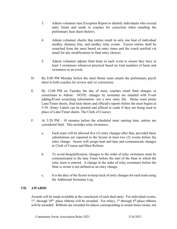- 3. Admin volunteer runs Exception Report to identify individuals who exceed entry limits and sends to coaches for correction when emailing the preliminary heat sheet (below).
- 4. Admin volunteer checks that entries result in only one heat of individual medley, distance free, and medley relay events. Excess entries shall be scratched from the meet based on entry times and the coach notified via email for any modifications in final entry choices.
- 5. Admin volunteer adjusts final heats in each event to ensure they have at least 3 swimmers whenever practical based on total numbers of heats and swimmers in an event.
- D. By 8:00 PM Monday before the meet Home team emails the preliminary psych sheet to both coaches for review and /or corrections.
- E. By 12:00 PM on Tuesday the day of meet, coaches email final changes or corrections to Admin. NOTE: changes by swimmer are emailed with Event adding/Event scratching information- not a new entry file. Home team prints Lane/Timer sheets, final heat sheets and official's reports before the meet begins at 5:30. (Entry Labels can be printed and affixed to cards if they are being used in place of Lane/Timer sheets. The Clerk of Course)
- F. At 5:20 PM 10 minutes before the scheduled meet starting time, entries are considered final. This includes relay swimmers.
	- a. Each team will be allowed five (5) entry changes after that, provided these substitutions are reported to the Scorer at least two (2) events before the entry change. Scorer will assign heat and lane and communicate changes to Clerk of Course and Meet Referee.
	- b. To avoid disqualification, changes to the order of relay swimmers must be communicated to the lane Timer before the start of the Heat in which the relay team is entered. A change in the order of relay swimmers before the Heat is swum is not defined as an entry change.
	- c. It is the duty of the Scorer to keep track of entry changes for each team using the Additional Swimmer Log.

#### **VII. AWARDS**

Awards will be made available at the conclusion of each dual meet. For individual events,  $1<sup>st</sup>$ - through  $10<sup>th</sup>$ -place ribbons will be awarded. For relays,  $1<sup>st</sup>$ -through  $4<sup>th</sup>$ -place ribbons will be awarded. Ribbons are awarded for places corresponding to actual times swum, not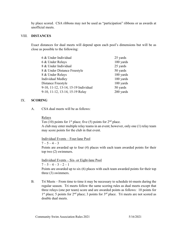by place scored. CSA ribbons may not be used as "participation" ribbons or as awards at unofficial meets.

#### VIII. **DISTANCES**

Exact distances for dual meets will depend upon each pool's dimensions but will be as close as possible to the following:

| 6 & Under Individual                 | 25 yards  |
|--------------------------------------|-----------|
| 6 & Under Relays                     | 100 yards |
| 8 & Under Individual                 | 25 yards  |
| 8 & Under Distance Freestyle         | 50 yards  |
| 8 & Under Relays                     | 100 yards |
| Individual Medley                    | 100 yards |
| Distance Freestyle                   | 100 yards |
| 9-10, 11-12, 13-14, 15-19 Individual | 50 yards  |
| 9-10, 11-12, 13-14, 15-19 Relay      | 200 yards |

#### IX. **SCORING**

A. CSA dual meets will be as follows:

Relays

Ten (10) points for  $1<sup>st</sup>$  place; five (5) points for  $2<sup>nd</sup>$  place.

A club may enter multiple relay teams in an event; however, only one (1) relay team may score points for the club in that event.

Individual Events – Four-lane Pool

 $7 - 5 - 4 - 3$ 

Points are awarded up to four (4) places with each team awarded points for their top two (2) swimmers.

Individual Events – Six- or Eight-lane Pool  $7 - 5 - 4 - 3 - 2 - 1$ 

Points are awarded up to six (6) places with each team awarded points for their top three (3) swimmers.

B. Tri Meets – From time to time it may be necessary to schedule tri-meets during the regular season. Tri meets follow the same scoring rules as dual meets except that three relays (one per team) score and are awarded points as follows: 10 points for  $1<sup>st</sup>$  place; 5 points for  $2<sup>nd</sup>$  place; 3 points for  $3<sup>rd</sup>$  place. Tri meets are not scored as double dual meets.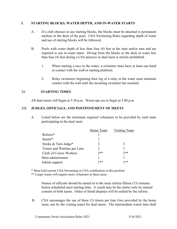#### X. **STARTING BLOCKS, WATER DEPTH, AND IN-WATER STARTS**

- A. If a club chooses to use starting blocks, the blocks must be attached to permanent anchors in the deck of the pool. USA Swimming Rules regarding depth of water and use of starting blocks will be followed.
- B. Pools with water depth of less than four (4) feet at the start and/or turn end are required to use in-water starts. Diving from the blocks or the deck in water less than four (4) feet during a CSA practice or dual meet is strictly prohibited.
	- 1. When starting a race in the water, a swimmer must have at least one hand in contact with the wall or starting platform.
	- 2. Relay swimmers beginning their leg of a relay in the water must maintain contact with the wall until the incoming swimmer has touched.

#### XI. **STARTING TIMES**

All dual meets will begin at 5:30 p.m. Warm-ups are to begin at 5:00 p.m.

#### XII. **JUDGES, OFFICIALS, AND POSTPONEMENT OF MEETS**

A. Listed below are the minimum required volunteers to be provided by each team participating in the dual meet.

|                             | Home Team | <b>Visiting Team</b> |
|-----------------------------|-----------|----------------------|
| Referee*                    |           |                      |
| Starter*                    |           |                      |
| Stroke & Turn Judge*        | 2         |                      |
| Timers and Watches per Lane |           |                      |
| Clerk of Course Workers     | $7**$     | $7**$                |
| Meet administrator          |           |                      |
| Admin support               | 1**       | 1**                  |

\* Must hold current USA Swimming or CSA certification in this position

\*\* Larger teams will require more volunteers in these areas

Names of officials should be turned in to the meet referee fifteen (15) minutes before scheduled meet starting time. A coach may be the starter only by mutual consent of both teams. Order of finish disputes will be settled by the referee.

B. CSA encourages the use of three (3) timers per lane (two provided by the home team, one by the visiting team) for dual meets. The intermediate watch time shall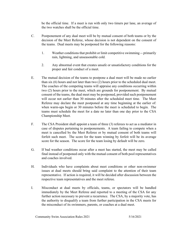be the official time. If a meet is run with only two timers per lane, an average of the two watches shall be the official time.

- C. Postponement of any dual meet will be by mutual consent of both teams or by the decision of the Meet Referee, whose decision is not dependent on the consent of the teams. Dual meets may be postponed for the following reasons:
	- 1. Weather conditions that prohibit or limit competitive swimming -- primarily rain, lightning, and unseasonable cold.
	- 2. Any abnormal event that creates unsafe or unsatisfactory conditions for the proper and fair conduct of a meet.
- E. The mutual decision of the teams to postpone a dual meet will be made no earlier than six (6) hours and not later than two (2) hours prior to the scheduled dual meet. The coaches of the competing teams will appraise any conditions occurring within two (2) hours prior to the meet, which are grounds for postponement. By mutual consent of the teams, the dual meet may be postponed, provided such postponement will occur not earlier than 30 minutes after the scheduled meet time. The Meet Referee may declare the meet postponed at any time beginning at the earlier of: when warm-ups begin or 30 minutes before the meet is scheduled to begin. The teams must schedule the meet for a date no later than one day prior to the CSA Championship Meet.
- F. The CSA President shall appoint a team of three (3) referees to act as a mediator in case of disputes pertaining to postponements. A team failing to compete when a meet is cancelled by the Meet Referee or by mutual consent of both teams will forfeit such meet. The score for the team winning by forfeit will be its average score for the season. The score for the team losing by default will be zero.
- G. If bad weather conditions occur after a meet has started, the meet may be called final instead of postponed only with the mutual consent of both pool representatives and coaches involved.
- H. Individuals who have complaints about meet conditions or other non-swimmer issues at dual meets should bring said complaint to the attention of their team representative. If action is required, it will be decided after discussion between the respective team representatives and the meet referee.
- I. Misconduct at dual meets by officials, teams, or spectators will be handled immediately by the Meet Referee and reported to a meeting of the CSA for any further action necessary to prevent a recurrence. The CSA, by a majority vote, has the authority to disqualify a team from further participation in the CSA meets for the misconduct of its swimmers, parents, or coaches at a dual meet.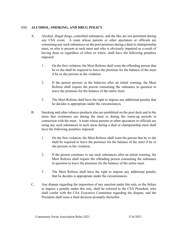#### XIII. **ALCOHOL, SMOKING, AND DRUG POLICY**

- A. Alcohol, illegal drugs, controlled substances, and the like are not permitted during any CSA event. A team whose parents or other spectators or officials are consuming any such substances on the pool premises during a dual or championship meet, or who is present at such meet and who is obviously impaired as a result of having done so regardless of when or where, shall have the following penalties imposed:
	- 1. On the first violation, the Meet Referee shall warn the offending person that he or she shall be required to leave the premises for the balance of the meet if he or she persists in the violation.
	- 2. If the person persists in the behavior after an initial warning, the Meet Referee shall require the person consuming the substance in question to leave the premises for the balance of the entire meet.
	- 3. The Meet Referee shall have the right to impose any additional penalty that he decides is appropriate under the circumstances.
- B. Smoking and other tobacco products also are prohibited on the pool deck and in the areas that swimmers use during the meet or during the warm-up periods in connection with the meet. A team whose parents or other spectators or officials are using any such substances in such areas during a dual or championship meet shall have the following penalties imposed:
	- 1. On the first violation, the Meet Referee shall warn the person that he or she shall be required to leave the premises for the balance of the meet if he or she persists in the violation.
	- 2. If the person continues to use such substances after an initial warning, the Meet Referee shall require the offending person consuming the substance in question to leave the premises for the balance of the entire meet.
	- 3. The Meet Referee shall have the right to impose any additional penalty that he decides is appropriate under the circumstances.
- C. Any dispute regarding the imposition of any sanction under this rule, or the failure to impose a penalty under this rule, shall be referred to the CSA President, who shall confer with the CSA Executive Committee regarding the dispute, and the President shall issue a final decision promptly thereafter.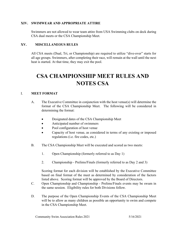#### **XIV. SWIMWEAR AND APPROPRIATE ATTIRE**

Swimmers are not allowed to wear team attire from USA Swimming clubs on deck during CSA dual meets or the CSA Championship Meet.

#### **XV. MISCELLANEOUS RULES**

All CSA meets (Dual, Tri, or Championship) are required to utilize "dive-over" starts for all age groups. Swimmers, after completing their race, will remain at the wall until the next heat is started. At that time, they may exit the pool.

## **CSA CHAMPIONSHIP MEET RULES AND NOTES CSA**

#### I. **MEET FORMAT**

- A. The Executive Committee in conjunction with the host venue(s) will determine the format of the CSA Championship Meet. The following will be considered in determining the format:
	- Designated dates of the CSA Championship Meet
	- Anticipated number of swimmers
	- Pool configuration of host venue
	- Capacity of host venue, as considered in terms of any existing or imposed regulations (i.e. fire codes, etc.)
- B. The CSA Championship Meet will be executed and scored as two meets:
	- 1. Open Championship (formerly referred to as Day 1)
	- 2. Championship Prelims/Finals (formerly referred to as Day 2 and 3)

Scoring format for each division will be established by the Executive Committee based on final format of the meet as determined by consideration of the factors listed above. Scoring format will be approved by the Board of Directors.

- C. Open Championship and Championship Prelims/Finals events may be swum in the same session. Eligibility rules for both Divisions follow.
- D. The purpose of the Open Championship Events of the CSA Championship Meet will be to allow as many children as possible an opportunity to swim and compete in the CSA Championship Meet.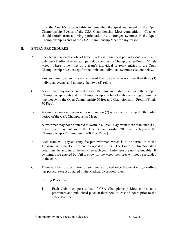E. It is the Coach's responsibility to remember the spirit and intent of the Open Championship Events of the CSA Championship Meet competition. Coaches should refrain from allowing participation by a stronger swimmer in the Open Championship Events of the CSA Championship Meet for any reason.

#### II. **ENTRY PROCEDURES**

- A. Each team may enter a total of three (3) official swimmers per individual event, and only one (1) official relay team per relay event in the Championship-Prelims/Finals Meet. There is no limit on a team's individual or relay entries in the Open Championship Meet, except for the limits on individual swimmers set out below.
- B. Any swimmer can swim a maximum of five (5) events -- no more than three (3) individual events, and no more than two (2) relays.
- C. A swimmer may not be entered to swim the same individual event in both the Open Championship events and the Championship - Prelims/Finals events (e.g., swimmer may not swim the Open Championship 50 free and Championship - Prelims/Finals 50 Free).
- D. A swimmer may not swim in more than two (2) relay events during the three-day period of the CSA Championship Meet.
- E. A swimmer may not be entered to swim in a Free Relay event more than once (i.e., a swimmer may not swim the Open Championship 200 Free Relay and the Championship - Prelims/Finals 200 Free Relay).
- F. Each team will pay an entry fee per swimmer, which is to be turned in to the Treasurer with meet entries and an updated roster. The Board of Directors shall determine the amount of the entry fee each year. Entry fees are non-refundable. If swimmers are entered but fail to show for the Meet, their fees will not be refunded to the club.
- G. There will be no substitution of swimmers allowed once the meet entry deadline has passed, except as stated in the Medical Exception rules.
- H. Posting Procedure:
	- 1. Each club must post a list of CSA Championship Meet entries at a prominent and publicized place at their pool at least 48 hours prior to the entry deadline.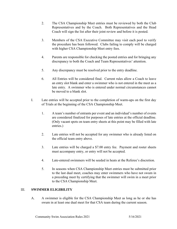- 2. The CSA Championship Meet entries must be reviewed by both the Club Representatives and by the Coach. Both Representatives and the Head Coach will sign the list after their joint review and before it is posted.
- 3. Members of the CSA Executive Committee may visit each pool to verify the procedure has been followed. Clubs failing to comply will be charged with higher CSA Championship Meet entry fees.
- 4. Parents are responsible for checking the posted entries and for bringing any discrepancy to both the Coach and Team Representatives' attention.
- 5. Any discrepancy must be resolved prior to the entry deadline.
- 6. All Entries will be considered final. Current rules allow a Coach to leave an entry slot blank and enter a swimmer who is not entered in the meet as a late entry. A swimmer who is entered under normal circumstances cannot be moved to a blank slot.
- I. Late entries will be accepted prior to the completion of warm-ups on the first day of Trials at the beginning of the CSA Championship Meet.
	- 1. A team's number of entrants per event and an individual's number of events are considered finalized for purposes of late entries at the official deadline. (Only vacant spots on team entry sheets at this point may be filled with late entries.)
	- 2. Late entries will not be accepted for any swimmer who is already listed on the official team entry above.
	- 3. Late entries will be charged a \$7.00 entry fee. Payment and roster sheets must accompany entry, or entry will not be accepted.
	- 4. Late-entered swimmers will be seeded in heats at the Referee's discretion.
	- 5. In seasons when CSA Championship Meet entries must be submitted prior to the last dual meet, coaches may enter swimmers who have not swum in a preceding meet by certifying that the swimmer will swim in a meet prior to the CSA Championship Meet.

#### III. **SWIMMER ELIGIBILITY**

A. A swimmer is eligible for the CSA Championship Meet as long as he or she has swum in at least one dual meet for that CSA team during the current season.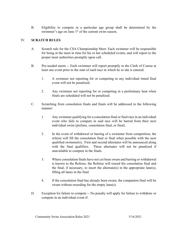B. Eligibility to compete in a particular age group shall be determined by the swimmer's age on June 1<sup>st</sup> of the current swim season.

#### IV. **SCRATCH RULES**

- A. Scratch rule for the CSA Championship Meet: Each swimmer will be responsible for being at the meet in time for his or her scheduled events, and will report to the proper meet authorities promptly upon call.
- B. Pre-seeded meets -- Each swimmer will report promptly to the Clerk of Course at least one event prior to the start of each race in which he or she is entered.
	- 1. A swimmer not reporting for or competing in any individual timed final event will not be penalized.
	- 2. Any swimmer not reporting for or competing in a preliminary heat when finals are scheduled will not be penalized.
- C. Scratching from consolation finals and finals will be addressed in the following manner:
	- 1. Any swimmer qualifying for a consolation final or final race in an individual event who fails to compete in said race will be barred from their next individual swim (prelims, consolation final, or final).
	- 2. In the event of withdrawal or barring of a swimmer from competition, the referee will fill the consolation final or final when possible with the next qualified swimmer(s). First and second alternates will be announced along with the final qualifiers. These alternates will not be penalized if unavailable to compete in the finals.
	- 3. Where consolation finals have not yet been swum and barring or withdrawal is known to the Referee, the Referee will reseed the consolation final and the final, if necessary, to insert the alternate(s) in the appropriate lane(s), filling all lanes in the final.
	- 4. If the consolation final has already been swum, the companion final will be swum without reseeding for the empty lane(s).
- D. Exception for failure to compete -- No penalty will apply for failure to withdraw or compete in an individual event if: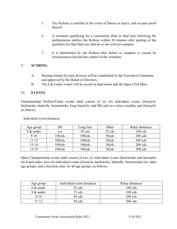- 1. The Referee is notified in the event of illness or injury, and accepts proof thereof.
- 2. A swimmer qualifying for a consolation final or final race following the preliminaries notifies the Referee within 30 minutes after posting of the qualifiers for that final race that he or she will not compete.
- 3. It is determined by the Referee that failure to compete is caused by circumstances beyond the control of the swimmer.

#### V. **SCORING**

- A. Scoring format for each division will be established by the Executive Committee and approved by the Board of Directors.
- B. The 6 & Under events will be scored in dual meets and the Open CSA Meet.

#### VI. **EVENTS**

Championship Prelims/Finals events shall consist of six (6) individual events (freestyle, backstroke, butterfly, breaststroke, long freestyle, and IM) and two relays (medley and freestyle) as follows:

| Age group | IΜ     | Long free | Other    | Relay distances |
|-----------|--------|-----------|----------|-----------------|
| 8 & under | n/a    | $50$ yds  | $25$ yds | $100$ yds       |
| $9 - 10$  | 100yds | 100yds    | 50yds    | $200$ yds       |
| $11 - 12$ | 100yds | 100yds    | 50yds    | $200$ yds       |
| $13 - 14$ | 100yds | 100yds    | 50yds    | $200$ yds       |
| $15-19$   | 100yds | 100yds    | 50yds    | $200$ yds       |

Individual event distances

Open Championship events shall consist of two (2) individual events (backstroke and freestyle) for 6 and under, four (4) individual events (freestyle, backstroke, butterfly, breaststroke) for older age groups, and a freestyle relay for all age groups, as follows:

| Age group | Individual event distances | Relay distances |
|-----------|----------------------------|-----------------|
| 6 & under | $25 \text{ yds}$           | $100$ yds       |
| 8 & under | $25$ yds                   | $100$ yds       |
| $9 - 10$  | $50$ yds                   | $200$ yds       |
| $11 - 12$ | $50$ yds                   | $200$ yds       |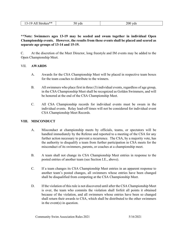| - -<br>والداواء<br>. ጥጥጥ<br>$\sim$<br>08 C.<br>.<br>.<br>, י<br>u<br>. .<br>$\sim$<br>$-$ | $\overline{\phantom{a}}$<br>$\sim$ $\sim$ |  |
|-------------------------------------------------------------------------------------------|-------------------------------------------|--|
|-------------------------------------------------------------------------------------------|-------------------------------------------|--|

**\*\*Note: Swimmers ages 13-19 may be seeded and swum together in individual Open Championship events. However, the results from these events shall be placed and scored as separate age groups of 13-14 and 15-19.** 

C. At the discretion of the Meet Director, long freestyle and IM events may be added to the Open Championship Meet.

#### VII. **AWARDS**

- A. Awards for the CSA Championship Meet will be placed in respective team boxes for the team coaches to distribute to the winners.
- B. All swimmers who place first in three (3) individual events, regardless of age group, in the CSA Championship Meet shall be recognized as Golden Swimmers, and will be honored at the end of the CSA Championship Meet.
- C. All CSA Championship records for individual events must be swum in the individual events. Relay lead-off times will not be considered for individual event CSA Championship Meet Records.

#### **VIII. MISCONDUCT**

- A. Misconduct at championship meets by officials, teams, or spectators will be handled immediately by the Referee and reported to a meeting of the CSA for any further action necessary to prevent a recurrence. The CSA, by a majority vote, has the authority to disqualify a team from further participation in CSA meets for the misconduct of its swimmers, parents, or coaches at a championship meet.
- B. A team shall not change its CSA Championship Meet entries in response to the posted entries of another team (see Section I.E., above).
- C. If a team changes its CSA Championship Meet entries in an apparent response to another team's posted changes, all swimmers whose entries have been changed shall be disqualified from competing at the CSA Championship Meet.
- D. If the violation of this rule is not discovered until after the CSA Championship Meet is over, the team who commits the violation shall forfeit all points it obtained because of the violation, and all swimmers whose entries have been so changed shall return their awards to CSA, which shall be distributed to the other swimmers in the event(s) in question.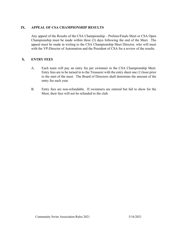#### **IX. APPEAL OF CSA CHAMPIONSHIP RESULTS**

Any appeal of the Results of the CSA Championship – Prelims/Finals Meet or CSA Open Championship must be made within three (3) days following the end of the Meet. The appeal must be made in writing to the CSA Championship Meet Director, who will meet with the VP-Director of Automation and the President of CSA for a review of the results.

#### **X. ENTRY FEES**

- A. Each team will pay an entry fee per swimmer in the CSA Championship Meet. Entry fees are to be turned in to the Treasurer with the entry sheet one (1) hour prior to the start of the meet. The Board of Directors shall determine the amount of the entry fee each year.
- B. Entry fees are non-refundable. If swimmers are entered but fail to show for the Meet, their fees will not be refunded to the club.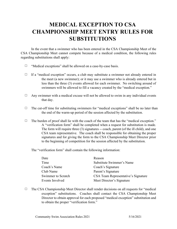## **MEDICAL EXCEPTION TO CSA CHAMPIONSHIP MEET ENTRY RULES FOR SUBSTITUTIONS**

In the event that a swimmer who has been entered in the CSA Championship Meet of the CSA Championship Meet cannot compete because of a medical condition, the following rules regarding substitutions shall apply:

- $\Box$  "Medical exceptions" shall be allowed on a case-by-case basis.
- $\Box$  If a "medical exception" occurs, a club may substitute a swimmer not already entered in the meet (a new swimmer); or it may use a swimmer who is already entered but in less than the three (3) events allowed for each swimmer. No switching around of swimmers will be allowed to fill a vacancy created by the "medical exception."
- $\Box$  Any swimmer with a medical excuse will not be allowed to swim in any individual events that day.
- $\Box$  The cut-off time for substituting swimmers for "medical exceptions" shall be no later than the end of the warm-up period of the session affected by the substitution.
- $\Box$  The burden of proof shall lie with the coach of the team that has the "medical exception." A "verification form" shall be completed when a request for substitution is made. The form will require three (3) signatures -- coach, parent (of the ill child), and one CSA team representative. The coach shall be responsible for obtaining the proper signatures and for giving the form to the CSA Championship Meet Director prior to the beginning of competition for the session affected by the substitution.

The "verification form" shall contain the following information:

| Date               | Reason                              |
|--------------------|-------------------------------------|
| Time               | Substitute Swimmer's Name           |
| Coach's Name       | Coach's Signature                   |
| Club Name          | Parent's Signature                  |
| Swimmer to Scratch | CSA Team Representative's Signature |
| Events Involved    | Meet Director's Signature           |

 $\Box$  The CSA Championship Meet Director shall render decisions on all requests for "medical exception" substitutions. Coaches shall contact the CSA Championship Meet Director to obtain approval for each proposed "medical exception" substitution and to obtain the proper "verification form."